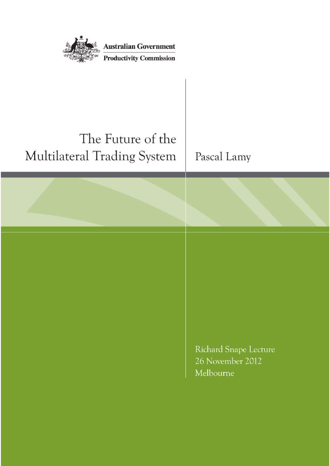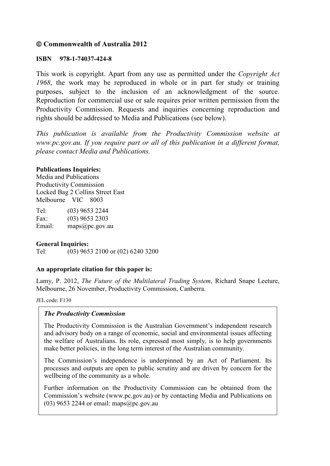#### **Commonwealth of Australia 2012**

#### **ISBN 978-1-74037-424-8**

This work is copyright. Apart from any use as permitted under the *Copyright Act 1968*, the work may be reproduced in whole or in part for study or training purposes, subject to the inclusion of an acknowledgment of the source. Reproduction for commercial use or sale requires prior written permission from the Productivity Commission. Requests and inquiries concerning reproduction and rights should be addressed to Media and Publications (see below).

*This publication is available from the Productivity Commission website at www.pc.gov.au. If you require part or all of this publication in a different format, please contact Media and Publications.*

#### **Publications Inquiries:**

Media and Publications Productivity Commission Locked Bag 2 Collins Street East Melbourne VIC 8003

| Tel:   | $(03)$ 9653 2244 |
|--------|------------------|
| Fax:   | $(03)$ 9653 2303 |
| Email: | maps@pc.gov.au   |

#### **General Inquiries:**

Tel: (03) 9653 2100 or (02) 6240 3200

#### **An appropriate citation for this paper is:**

Lamy, P. 2012, *The Future of the Multilateral Trading System*, Richard Snape Lecture, Melbourne, 26 November, Productivity Commission, Canberra.

JEL code: F130

#### *The Productivity Commission*

The Productivity Commission is the Australian Government's independent research and advisory body on a range of economic, social and environmental issues affecting the welfare of Australians. Its role, expressed most simply, is to help governments make better policies, in the long term interest of the Australian community.

The Commission's independence is underpinned by an Act of Parliament. Its processes and outputs are open to public scrutiny and are driven by concern for the wellbeing of the community as a whole.

Further information on the Productivity Commission can be obtained from the Commission's website (www.pc.gov.au) or by contacting Media and Publications on (03) 9653 2244 or email: maps $(a)$ pc.gov.au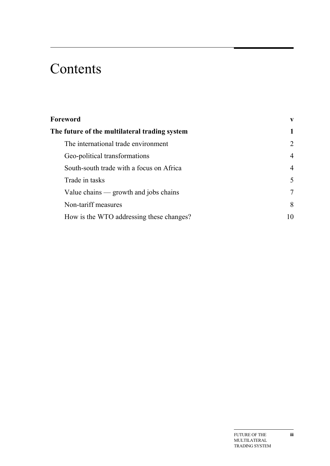## Contents

| The future of the multilateral trading system | 1              |
|-----------------------------------------------|----------------|
|                                               |                |
| The international trade environment           | $\overline{2}$ |
| Geo-political transformations                 | $\overline{4}$ |
| South-south trade with a focus on Africa      | $\overline{4}$ |
| Trade in tasks                                | 5              |
| Value chains — growth and jobs chains         | $\overline{7}$ |
| Non-tariff measures                           | 8              |
| How is the WTO addressing these changes?      | 10             |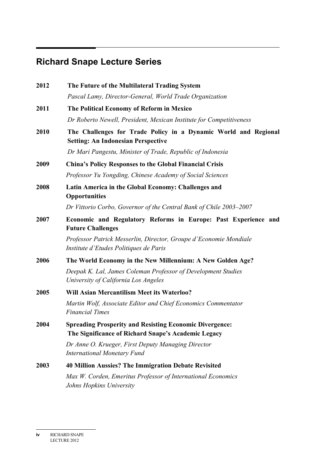## **Richard Snape Lecture Series**

| 2012 | The Future of the Multilateral Trading System                                                                         |
|------|-----------------------------------------------------------------------------------------------------------------------|
|      | Pascal Lamy, Director-General, World Trade Organization                                                               |
| 2011 | The Political Economy of Reform in Mexico                                                                             |
|      | Dr Roberto Newell, President, Mexican Institute for Competitiveness                                                   |
| 2010 | The Challenges for Trade Policy in a Dynamic World and Regional<br><b>Setting: An Indonesian Perspective</b>          |
|      | Dr Mari Pangestu, Minister of Trade, Republic of Indonesia                                                            |
| 2009 | <b>China's Policy Responses to the Global Financial Crisis</b>                                                        |
|      | Professor Yu Yongding, Chinese Academy of Social Sciences                                                             |
| 2008 | Latin America in the Global Economy: Challenges and<br><b>Opportunities</b>                                           |
|      | Dr Vittorio Corbo, Governor of the Central Bank of Chile 2003–2007                                                    |
| 2007 | Economic and Regulatory Reforms in Europe: Past Experience and<br><b>Future Challenges</b>                            |
|      | Professor Patrick Messerlin, Director, Groupe d'Economie Mondiale<br>Institute d'Etudes Politiques de Paris           |
| 2006 | The World Economy in the New Millennium: A New Golden Age?                                                            |
|      | Deepak K. Lal, James Coleman Professor of Development Studies<br>University of California Los Angeles                 |
| 2005 | <b>Will Asian Mercantilism Meet its Waterloo?</b>                                                                     |
|      | Martin Wolf, Associate Editor and Chief Economics Commentator<br><b>Financial Times</b>                               |
| 2004 | <b>Spreading Prosperity and Resisting Economic Divergence:</b><br>The Significance of Richard Snape's Academic Legacy |
|      | Dr Anne O. Krueger, First Deputy Managing Director<br><b>International Monetary Fund</b>                              |
| 2003 | <b>40 Million Aussies? The Immigration Debate Revisited</b>                                                           |
|      | Max W. Corden, Emeritus Professor of International Economics<br>Johns Hopkins University                              |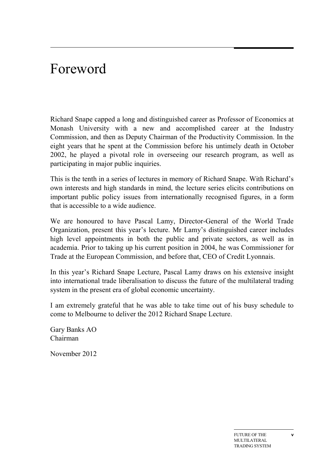## Foreword

Richard Snape capped a long and distinguished career as Professor of Economics at Monash University with a new and accomplished career at the Industry Commission, and then as Deputy Chairman of the Productivity Commission. In the eight years that he spent at the Commission before his untimely death in October 2002, he played a pivotal role in overseeing our research program, as well as participating in major public inquiries.

This is the tenth in a series of lectures in memory of Richard Snape. With Richard's own interests and high standards in mind, the lecture series elicits contributions on important public policy issues from internationally recognised figures, in a form that is accessible to a wide audience.

We are honoured to have Pascal Lamy, Director-General of the World Trade Organization, present this year's lecture. Mr Lamy's distinguished career includes high level appointments in both the public and private sectors, as well as in academia. Prior to taking up his current position in 2004, he was Commissioner for Trade at the European Commission, and before that, CEO of Credit Lyonnais.

In this year's Richard Snape Lecture, Pascal Lamy draws on his extensive insight into international trade liberalisation to discuss the future of the multilateral trading system in the present era of global economic uncertainty.

I am extremely grateful that he was able to take time out of his busy schedule to come to Melbourne to deliver the 2012 Richard Snape Lecture.

Gary Banks AO Chairman

November 2012

**v**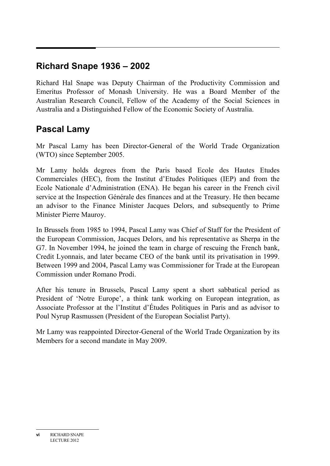### **Richard Snape 1936 – 2002**

Richard Hal Snape was Deputy Chairman of the Productivity Commission and Emeritus Professor of Monash University. He was a Board Member of the Australian Research Council, Fellow of the Academy of the Social Sciences in Australia and a Distinguished Fellow of the Economic Society of Australia.

### **Pascal Lamy**

Mr Pascal Lamy has been Director-General of the World Trade Organization (WTO) since September 2005.

Mr Lamy holds degrees from the Paris based Ecole des Hautes Etudes Commerciales (HEC), from the Institut d'Etudes Politiques (IEP) and from the Ecole Nationale d'Administration (ENA). He began his career in the French civil service at the Inspection Générale des finances and at the Treasury. He then became an advisor to the Finance Minister Jacques Delors, and subsequently to Prime Minister Pierre Mauroy.

In Brussels from 1985 to 1994, Pascal Lamy was Chief of Staff for the President of the European Commission, Jacques Delors, and his representative as Sherpa in the G7. In November 1994, he joined the team in charge of rescuing the French bank, Credit Lyonnais, and later became CEO of the bank until its privatisation in 1999. Between 1999 and 2004, Pascal Lamy was Commissioner for Trade at the European Commission under Romano Prodi.

After his tenure in Brussels, Pascal Lamy spent a short sabbatical period as President of 'Notre Europe', a think tank working on European integration, as Associate Professor at the l'Institut d'Études Politiques in Paris and as advisor to Poul Nyrup Rasmussen (President of the European Socialist Party).

Mr Lamy was reappointed Director-General of the World Trade Organization by its Members for a second mandate in May 2009.

**vi** RICHARD SNAPE LECTURE 2012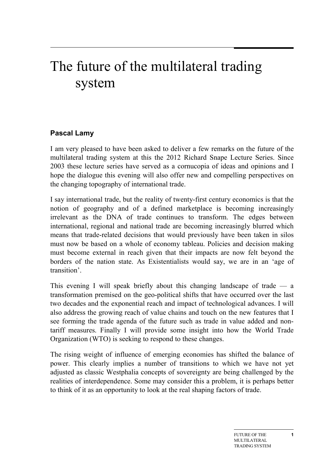# The future of the multilateral trading system

#### **Pascal Lamy**

I am very pleased to have been asked to deliver a few remarks on the future of the multilateral trading system at this the 2012 Richard Snape Lecture Series. Since 2003 these lecture series have served as a cornucopia of ideas and opinions and I hope the dialogue this evening will also offer new and compelling perspectives on the changing topography of international trade.

I say international trade, but the reality of twenty-first century economics is that the notion of geography and of a defined marketplace is becoming increasingly irrelevant as the DNA of trade continues to transform. The edges between international, regional and national trade are becoming increasingly blurred which means that trade-related decisions that would previously have been taken in silos must now be based on a whole of economy tableau. Policies and decision making must become external in reach given that their impacts are now felt beyond the borders of the nation state. As Existentialists would say, we are in an 'age of transition'.

This evening I will speak briefly about this changing landscape of trade — a transformation premised on the geo-political shifts that have occurred over the last two decades and the exponential reach and impact of technological advances. I will also address the growing reach of value chains and touch on the new features that I see forming the trade agenda of the future such as trade in value added and nontariff measures. Finally I will provide some insight into how the World Trade Organization (WTO) is seeking to respond to these changes.

The rising weight of influence of emerging economies has shifted the balance of power. This clearly implies a number of transitions to which we have not yet adjusted as classic Westphalia concepts of sovereignty are being challenged by the realities of interdependence. Some may consider this a problem, it is perhaps better to think of it as an opportunity to look at the real shaping factors of trade.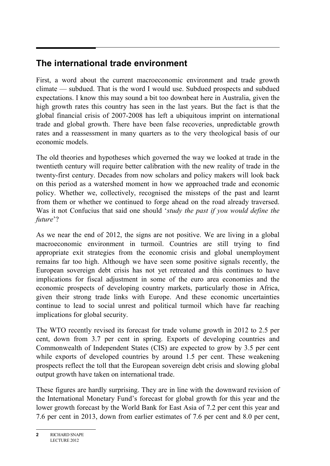## **The international trade environment**

First, a word about the current macroeconomic environment and trade growth climate — subdued. That is the word I would use. Subdued prospects and subdued expectations. I know this may sound a bit too downbeat here in Australia, given the high growth rates this country has seen in the last years. But the fact is that the global financial crisis of 2007-2008 has left a ubiquitous imprint on international trade and global growth. There have been false recoveries, unpredictable growth rates and a reassessment in many quarters as to the very theological basis of our economic models.

The old theories and hypotheses which governed the way we looked at trade in the twentieth century will require better calibration with the new reality of trade in the twenty-first century. Decades from now scholars and policy makers will look back on this period as a watershed moment in how we approached trade and economic policy. Whether we, collectively, recognised the missteps of the past and learnt from them or whether we continued to forge ahead on the road already traversed. Was it not Confucius that said one should '*study the past if you would define the future*'?

As we near the end of 2012, the signs are not positive. We are living in a global macroeconomic environment in turmoil. Countries are still trying to find appropriate exit strategies from the economic crisis and global unemployment remains far too high. Although we have seen some positive signals recently, the European sovereign debt crisis has not yet retreated and this continues to have implications for fiscal adjustment in some of the euro area economies and the economic prospects of developing country markets, particularly those in Africa, given their strong trade links with Europe. And these economic uncertainties continue to lead to social unrest and political turmoil which have far reaching implications for global security.

The WTO recently revised its forecast for trade volume growth in 2012 to 2.5 per cent, down from 3.7 per cent in spring. Exports of developing countries and Commonwealth of Independent States (CIS) are expected to grow by 3.5 per cent while exports of developed countries by around 1.5 per cent. These weakening prospects reflect the toll that the European sovereign debt crisis and slowing global output growth have taken on international trade.

These figures are hardly surprising. They are in line with the downward revision of the International Monetary Fund's forecast for global growth for this year and the lower growth forecast by the World Bank for East Asia of 7.2 per cent this year and 7.6 per cent in 2013, down from earlier estimates of 7.6 per cent and 8.0 per cent,

**<sup>2</sup>** RICHARD SNAPE LECTURE 2012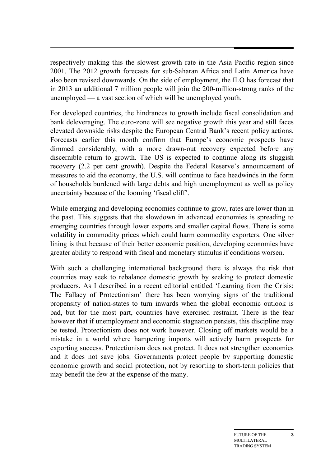respectively making this the slowest growth rate in the Asia Pacific region since 2001. The 2012 growth forecasts for sub-Saharan Africa and Latin America have also been revised downwards. On the side of employment, the ILO has forecast that in 2013 an additional 7 million people will join the 200-million-strong ranks of the unemployed — a vast section of which will be unemployed youth.

For developed countries, the hindrances to growth include fiscal consolidation and bank deleveraging. The euro-zone will see negative growth this year and still faces elevated downside risks despite the European Central Bank's recent policy actions. Forecasts earlier this month confirm that Europe's economic prospects have dimmed considerably, with a more drawn-out recovery expected before any discernible return to growth. The US is expected to continue along its sluggish recovery (2.2 per cent growth). Despite the Federal Reserve's announcement of measures to aid the economy, the U.S. will continue to face headwinds in the form of households burdened with large debts and high unemployment as well as policy uncertainty because of the looming 'fiscal cliff'.

While emerging and developing economies continue to grow, rates are lower than in the past. This suggests that the slowdown in advanced economies is spreading to emerging countries through lower exports and smaller capital flows. There is some volatility in commodity prices which could harm commodity exporters. One silver lining is that because of their better economic position, developing economies have greater ability to respond with fiscal and monetary stimulus if conditions worsen.

With such a challenging international background there is always the risk that countries may seek to rebalance domestic growth by seeking to protect domestic producers. As I described in a recent editorial entitled 'Learning from the Crisis: The Fallacy of Protectionism' there has been worrying signs of the traditional propensity of nation-states to turn inwards when the global economic outlook is bad, but for the most part, countries have exercised restraint. There is the fear however that if unemployment and economic stagnation persists, this discipline may be tested. Protectionism does not work however. Closing off markets would be a mistake in a world where hampering imports will actively harm prospects for exporting success. Protectionism does not protect. It does not strengthen economies and it does not save jobs. Governments protect people by supporting domestic economic growth and social protection, not by resorting to short-term policies that may benefit the few at the expense of the many.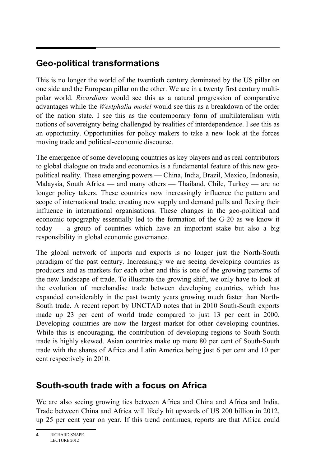## **Geo-political transformations**

This is no longer the world of the twentieth century dominated by the US pillar on one side and the European pillar on the other. We are in a twenty first century multipolar world. *Ricardians* would see this as a natural progression of comparative advantages while the *Westphalia model* would see this as a breakdown of the order of the nation state. I see this as the contemporary form of multilateralism with notions of sovereignty being challenged by realities of interdependence. I see this as an opportunity. Opportunities for policy makers to take a new look at the forces moving trade and political-economic discourse.

The emergence of some developing countries as key players and as real contributors to global dialogue on trade and economics is a fundamental feature of this new geopolitical reality. These emerging powers — China, India, Brazil, Mexico, Indonesia, Malaysia, South Africa — and many others — Thailand, Chile, Turkey — are no longer policy takers. These countries now increasingly influence the pattern and scope of international trade, creating new supply and demand pulls and flexing their influence in international organisations. These changes in the geo-political and economic topography essentially led to the formation of the G-20 as we know it today — a group of countries which have an important stake but also a big responsibility in global economic governance.

The global network of imports and exports is no longer just the North-South paradigm of the past century. Increasingly we are seeing developing countries as producers and as markets for each other and this is one of the growing patterns of the new landscape of trade. To illustrate the growing shift, we only have to look at the evolution of merchandise trade between developing countries, which has expanded considerably in the past twenty years growing much faster than North-South trade. A recent report by UNCTAD notes that in 2010 South-South exports made up 23 per cent of world trade compared to just 13 per cent in 2000. Developing countries are now the largest market for other developing countries. While this is encouraging, the contribution of developing regions to South-South trade is highly skewed. Asian countries make up more 80 per cent of South-South trade with the shares of Africa and Latin America being just 6 per cent and 10 per cent respectively in 2010.

### **South-south trade with a focus on Africa**

We are also seeing growing ties between Africa and China and Africa and India. Trade between China and Africa will likely hit upwards of US 200 billion in 2012, up 25 per cent year on year. If this trend continues, reports are that Africa could

**<sup>4</sup>** RICHARD SNAPE LECTURE 2012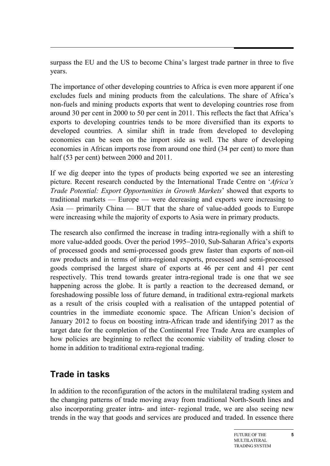surpass the EU and the US to become China's largest trade partner in three to five years.

The importance of other developing countries to Africa is even more apparent if one excludes fuels and mining products from the calculations. The share of Africa's non-fuels and mining products exports that went to developing countries rose from around 30 per cent in 2000 to 50 per cent in 2011. This reflects the fact that Africa's exports to developing countries tends to be more diversified than its exports to developed countries. A similar shift in trade from developed to developing economies can be seen on the import side as well. The share of developing economies in African imports rose from around one third (34 per cent) to more than half (53 per cent) between 2000 and 2011.

If we dig deeper into the types of products being exported we see an interesting picture. Recent research conducted by the International Trade Centre on '*Africa's Trade Potential: Export Opportunities in Growth Markets*' showed that exports to traditional markets — Europe — were decreasing and exports were increasing to Asia — primarily China — BUT that the share of value-added goods to Europe were increasing while the majority of exports to Asia were in primary products.

The research also confirmed the increase in trading intra-regionally with a shift to more value-added goods. Over the period 1995−2010, Sub-Saharan Africa's exports of processed goods and semi-processed goods grew faster than exports of non-oil raw products and in terms of intra-regional exports, processed and semi-processed goods comprised the largest share of exports at 46 per cent and 41 per cent respectively. This trend towards greater intra-regional trade is one that we see happening across the globe. It is partly a reaction to the decreased demand, or foreshadowing possible loss of future demand, in traditional extra-regional markets as a result of the crisis coupled with a realisation of the untapped potential of countries in the immediate economic space. The African Union's decision of January 2012 to focus on boosting intra-African trade and identifying 2017 as the target date for the completion of the Continental Free Trade Area are examples of how policies are beginning to reflect the economic viability of trading closer to home in addition to traditional extra-regional trading.

#### **Trade in tasks**

In addition to the reconfiguration of the actors in the multilateral trading system and the changing patterns of trade moving away from traditional North-South lines and also incorporating greater intra- and inter- regional trade, we are also seeing new trends in the way that goods and services are produced and traded. In essence there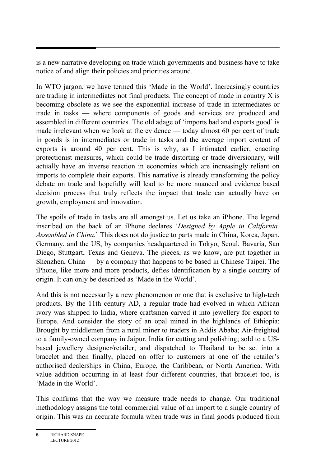is a new narrative developing on trade which governments and business have to take notice of and align their policies and priorities around.

In WTO jargon, we have termed this 'Made in the World'. Increasingly countries are trading in intermediates not final products. The concept of made in country X is becoming obsolete as we see the exponential increase of trade in intermediates or trade in tasks — where components of goods and services are produced and assembled in different countries. The old adage of 'imports bad and exports good' is made irrelevant when we look at the evidence — today almost 60 per cent of trade in goods is in intermediates or trade in tasks and the average import content of exports is around 40 per cent. This is why, as I intimated earlier, enacting protectionist measures, which could be trade distorting or trade diversionary, will actually have an inverse reaction in economies which are increasingly reliant on imports to complete their exports. This narrative is already transforming the policy debate on trade and hopefully will lead to be more nuanced and evidence based decision process that truly reflects the impact that trade can actually have on growth, employment and innovation.

The spoils of trade in tasks are all amongst us. Let us take an iPhone. The legend inscribed on the back of an iPhone declares '*Designed by Apple in California. Assembled in China.*' This does not do justice to parts made in China, Korea, Japan, Germany, and the US, by companies headquartered in Tokyo, Seoul, Bavaria, San Diego, Stuttgart, Texas and Geneva. The pieces, as we know, are put together in Shenzhen, China — by a company that happens to be based in Chinese Taipei. The iPhone, like more and more products, defies identification by a single country of origin. It can only be described as 'Made in the World'.

And this is not necessarily a new phenomenon or one that is exclusive to high-tech products. By the 11th century AD, a regular trade had evolved in which African ivory was shipped to India, where craftsmen carved it into jewellery for export to Europe. And consider the story of an opal mined in the highlands of Ethiopia: Brought by middlemen from a rural miner to traders in Addis Ababa; Air-freighted to a family-owned company in Jaipur, India for cutting and polishing; sold to a USbased jewellery designer/retailer; and dispatched to Thailand to be set into a bracelet and then finally, placed on offer to customers at one of the retailer's authorised dealerships in China, Europe, the Caribbean, or North America. With value addition occurring in at least four different countries, that bracelet too, is 'Made in the World'.

This confirms that the way we measure trade needs to change. Our traditional methodology assigns the total commercial value of an import to a single country of origin. This was an accurate formula when trade was in final goods produced from

**<sup>6</sup>** RICHARD SNAPE LECTURE 2012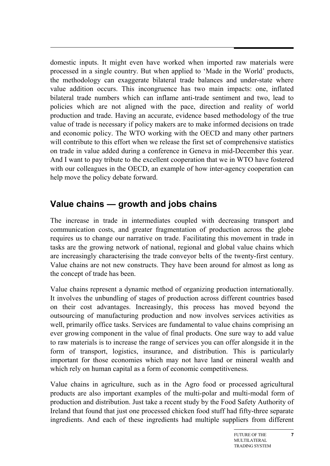domestic inputs. It might even have worked when imported raw materials were processed in a single country. But when applied to 'Made in the World' products, the methodology can exaggerate bilateral trade balances and under-state where value addition occurs. This incongruence has two main impacts: one, inflated bilateral trade numbers which can inflame anti-trade sentiment and two, lead to policies which are not aligned with the pace, direction and reality of world production and trade. Having an accurate, evidence based methodology of the true value of trade is necessary if policy makers are to make informed decisions on trade and economic policy. The WTO working with the OECD and many other partners will contribute to this effort when we release the first set of comprehensive statistics on trade in value added during a conference in Geneva in mid-December this year. And I want to pay tribute to the excellent cooperation that we in WTO have fostered with our colleagues in the OECD, an example of how inter-agency cooperation can help move the policy debate forward.

## **Value chains — growth and jobs chains**

The increase in trade in intermediates coupled with decreasing transport and communication costs, and greater fragmentation of production across the globe requires us to change our narrative on trade. Facilitating this movement in trade in tasks are the growing network of national, regional and global value chains which are increasingly characterising the trade conveyor belts of the twenty-first century. Value chains are not new constructs. They have been around for almost as long as the concept of trade has been.

Value chains represent a dynamic method of organizing production internationally. It involves the unbundling of stages of production across different countries based on their cost advantages. Increasingly, this process has moved beyond the outsourcing of manufacturing production and now involves services activities as well, primarily office tasks. Services are fundamental to value chains comprising an ever growing component in the value of final products. One sure way to add value to raw materials is to increase the range of services you can offer alongside it in the form of transport, logistics, insurance, and distribution. This is particularly important for those economies which may not have land or mineral wealth and which rely on human capital as a form of economic competitiveness.

Value chains in agriculture, such as in the Agro food or processed agricultural products are also important examples of the multi-polar and multi-modal form of production and distribution. Just take a recent study by the Food Safety Authority of Ireland that found that just one processed chicken food stuff had fifty-three separate ingredients. And each of these ingredients had multiple suppliers from different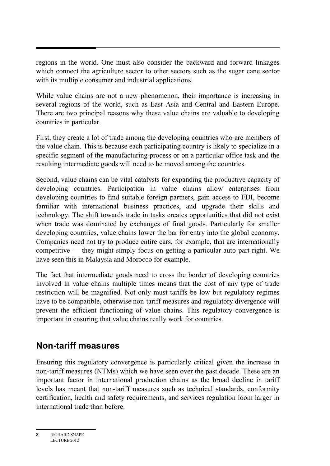regions in the world. One must also consider the backward and forward linkages which connect the agriculture sector to other sectors such as the sugar cane sector with its multiple consumer and industrial applications.

While value chains are not a new phenomenon, their importance is increasing in several regions of the world, such as East Asia and Central and Eastern Europe. There are two principal reasons why these value chains are valuable to developing countries in particular.

First, they create a lot of trade among the developing countries who are members of the value chain. This is because each participating country is likely to specialize in a specific segment of the manufacturing process or on a particular office task and the resulting intermediate goods will need to be moved among the countries.

Second, value chains can be vital catalysts for expanding the productive capacity of developing countries. Participation in value chains allow enterprises from developing countries to find suitable foreign partners, gain access to FDI, become familiar with international business practices, and upgrade their skills and technology. The shift towards trade in tasks creates opportunities that did not exist when trade was dominated by exchanges of final goods. Particularly for smaller developing countries, value chains lower the bar for entry into the global economy. Companies need not try to produce entire cars, for example, that are internationally competitive — they might simply focus on getting a particular auto part right. We have seen this in Malaysia and Morocco for example.

The fact that intermediate goods need to cross the border of developing countries involved in value chains multiple times means that the cost of any type of trade restriction will be magnified. Not only must tariffs be low but regulatory regimes have to be compatible, otherwise non-tariff measures and regulatory divergence will prevent the efficient functioning of value chains. This regulatory convergence is important in ensuring that value chains really work for countries.

#### **Non-tariff measures**

Ensuring this regulatory convergence is particularly critical given the increase in non-tariff measures (NTMs) which we have seen over the past decade. These are an important factor in international production chains as the broad decline in tariff levels has meant that non-tariff measures such as technical standards, conformity certification, health and safety requirements, and services regulation loom larger in international trade than before.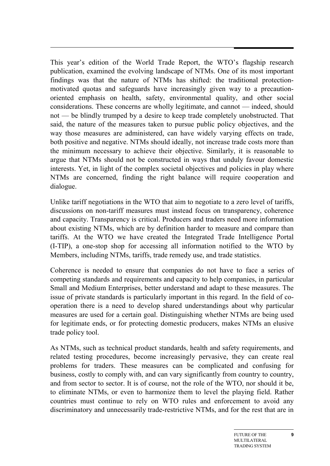This year's edition of the World Trade Report, the WTO's flagship research publication, examined the evolving landscape of NTMs. One of its most important findings was that the nature of NTMs has shifted: the traditional protectionmotivated quotas and safeguards have increasingly given way to a precautionoriented emphasis on health, safety, environmental quality, and other social considerations. These concerns are wholly legitimate, and cannot — indeed, should not — be blindly trumped by a desire to keep trade completely unobstructed. That said, the nature of the measures taken to pursue public policy objectives, and the way those measures are administered, can have widely varying effects on trade, both positive and negative. NTMs should ideally, not increase trade costs more than the minimum necessary to achieve their objective. Similarly, it is reasonable to argue that NTMs should not be constructed in ways that unduly favour domestic interests. Yet, in light of the complex societal objectives and policies in play where NTMs are concerned, finding the right balance will require cooperation and dialogue.

Unlike tariff negotiations in the WTO that aim to negotiate to a zero level of tariffs, discussions on non-tariff measures must instead focus on transparency, coherence and capacity. Transparency is critical. Producers and traders need more information about existing NTMs, which are by definition harder to measure and compare than tariffs. At the WTO we have created the Integrated Trade Intelligence Portal (I-TIP), a one-stop shop for accessing all information notified to the WTO by Members, including NTMs, tariffs, trade remedy use, and trade statistics.

Coherence is needed to ensure that companies do not have to face a series of competing standards and requirements and capacity to help companies, in particular Small and Medium Enterprises, better understand and adapt to these measures. The issue of private standards is particularly important in this regard. In the field of cooperation there is a need to develop shared understandings about why particular measures are used for a certain goal. Distinguishing whether NTMs are being used for legitimate ends, or for protecting domestic producers, makes NTMs an elusive trade policy tool.

As NTMs, such as technical product standards, health and safety requirements, and related testing procedures, become increasingly pervasive, they can create real problems for traders. These measures can be complicated and confusing for business, costly to comply with, and can vary significantly from country to country, and from sector to sector. It is of course, not the role of the WTO, nor should it be, to eliminate NTMs, or even to harmonize them to level the playing field. Rather countries must continue to rely on WTO rules and enforcement to avoid any discriminatory and unnecessarily trade-restrictive NTMs, and for the rest that are in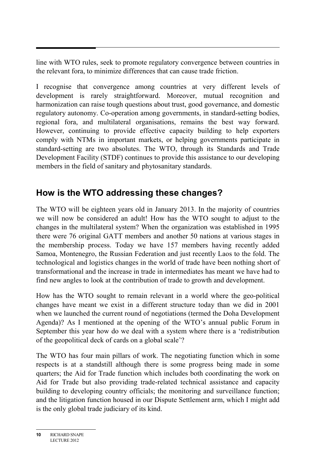line with WTO rules, seek to promote regulatory convergence between countries in the relevant fora, to minimize differences that can cause trade friction.

I recognise that convergence among countries at very different levels of development is rarely straightforward. Moreover, mutual recognition and harmonization can raise tough questions about trust, good governance, and domestic regulatory autonomy. Co-operation among governments, in standard-setting bodies, regional fora, and multilateral organisations, remains the best way forward. However, continuing to provide effective capacity building to help exporters comply with NTMs in important markets, or helping governments participate in standard-setting are two absolutes. The WTO, through its Standards and Trade Development Facility (STDF) continues to provide this assistance to our developing members in the field of sanitary and phytosanitary standards.

## **How is the WTO addressing these changes?**

The WTO will be eighteen years old in January 2013. In the majority of countries we will now be considered an adult! How has the WTO sought to adjust to the changes in the multilateral system? When the organization was established in 1995 there were 76 original GATT members and another 50 nations at various stages in the membership process. Today we have 157 members having recently added Samoa, Montenegro, the Russian Federation and just recently Laos to the fold. The technological and logistics changes in the world of trade have been nothing short of transformational and the increase in trade in intermediates has meant we have had to find new angles to look at the contribution of trade to growth and development.

How has the WTO sought to remain relevant in a world where the geo-political changes have meant we exist in a different structure today than we did in 2001 when we launched the current round of negotiations (termed the Doha Development Agenda)? As I mentioned at the opening of the WTO's annual public Forum in September this year how do we deal with a system where there is a 'redistribution of the geopolitical deck of cards on a global scale'?

The WTO has four main pillars of work. The negotiating function which in some respects is at a standstill although there is some progress being made in some quarters; the Aid for Trade function which includes both coordinating the work on Aid for Trade but also providing trade-related technical assistance and capacity building to developing country officials; the monitoring and surveillance function; and the litigation function housed in our Dispute Settlement arm, which I might add is the only global trade judiciary of its kind.

**<sup>10</sup>** RICHARD SNAPE LECTURE 2012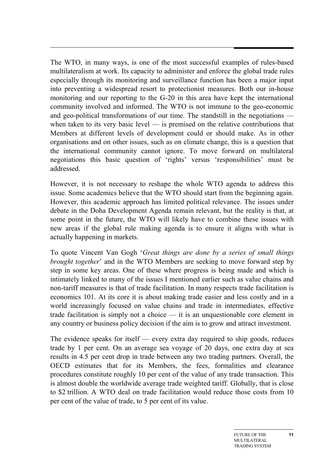The WTO, in many ways, is one of the most successful examples of rules-based multilateralism at work. Its capacity to administer and enforce the global trade rules especially through its monitoring and surveillance function has been a major input into preventing a widespread resort to protectionist measures. Both our in-house monitoring and our reporting to the G-20 in this area have kept the international community involved and informed. The WTO is not immune to the geo-economic and geo-political transformations of our time. The standstill in the negotiations when taken to its very basic level — is premised on the relative contributions that Members at different levels of development could or should make. As in other organisations and on other issues, such as on climate change, this is a question that the international community cannot ignore. To move forward on multilateral negotiations this basic question of 'rights' versus 'responsibilities' must be addressed.

However, it is not necessary to reshape the whole WTO agenda to address this issue. Some academics believe that the WTO should start from the beginning again. However, this academic approach has limited political relevance. The issues under debate in the Doha Development Agenda remain relevant, but the reality is that, at some point in the future, the WTO will likely have to combine these issues with new areas if the global rule making agenda is to ensure it aligns with what is actually happening in markets.

To quote Vincent Van Gogh '*Great things are done by a series of small things brought together*' and in the WTO Members are seeking to move forward step by step in some key areas. One of these where progress is being made and which is intimately linked to many of the issues I mentioned earlier such as value chains and non-tariff measures is that of trade facilitation. In many respects trade facilitation is economics 101. At its core it is about making trade easier and less costly and in a world increasingly focused on value chains and trade in intermediates, effective trade facilitation is simply not a choice — it is an unquestionable core element in any country or business policy decision if the aim is to grow and attract investment.

The evidence speaks for itself — every extra day required to ship goods, reduces trade by 1 per cent. On an average sea voyage of 20 days, one extra day at sea results in 4.5 per cent drop in trade between any two trading partners. Overall, the OECD estimates that for its Members, the fees, formalities and clearance procedures constitute roughly 10 per cent of the value of any trade transaction. This is almost double the worldwide average trade weighted tariff. Globally, that is close to \$2 trillion. A WTO deal on trade facilitation would reduce those costs from 10 per cent of the value of trade, to 5 per cent of its value.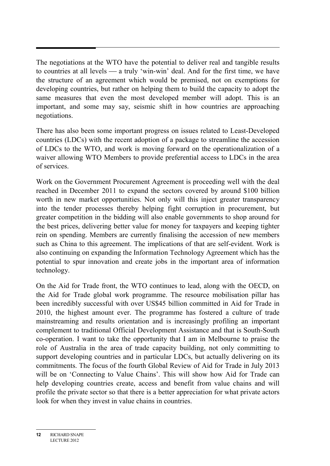The negotiations at the WTO have the potential to deliver real and tangible results to countries at all levels  $\frac{a}{b}$  a truly 'win-win' deal. And for the first time, we have the structure of an agreement which would be premised, not on exemptions for developing countries, but rather on helping them to build the capacity to adopt the same measures that even the most developed member will adopt. This is an important, and some may say, seismic shift in how countries are approaching negotiations.

There has also been some important progress on issues related to Least-Developed countries (LDCs) with the recent adoption of a package to streamline the accession of LDCs to the WTO, and work is moving forward on the operationalization of a waiver allowing WTO Members to provide preferential access to LDCs in the area of services.

Work on the Government Procurement Agreement is proceeding well with the deal reached in December 2011 to expand the sectors covered by around \$100 billion worth in new market opportunities. Not only will this inject greater transparency into the tender processes thereby helping fight corruption in procurement, but greater competition in the bidding will also enable governments to shop around for the best prices, delivering better value for money for taxpayers and keeping tighter rein on spending. Members are currently finalising the accession of new members such as China to this agreement. The implications of that are self-evident. Work is also continuing on expanding the Information Technology Agreement which has the potential to spur innovation and create jobs in the important area of information technology.

On the Aid for Trade front, the WTO continues to lead, along with the OECD, on the Aid for Trade global work programme. The resource mobilisation pillar has been incredibly successful with over US\$45 billion committed in Aid for Trade in 2010, the highest amount ever. The programme has fostered a culture of trade mainstreaming and results orientation and is increasingly profiling an important complement to traditional Official Development Assistance and that is South-South co-operation. I want to take the opportunity that I am in Melbourne to praise the role of Australia in the area of trade capacity building, not only committing to support developing countries and in particular LDCs, but actually delivering on its commitments. The focus of the fourth Global Review of Aid for Trade in July 2013 will be on 'Connecting to Value Chains'. This will show how Aid for Trade can help developing countries create, access and benefit from value chains and will profile the private sector so that there is a better appreciation for what private actors look for when they invest in value chains in countries.